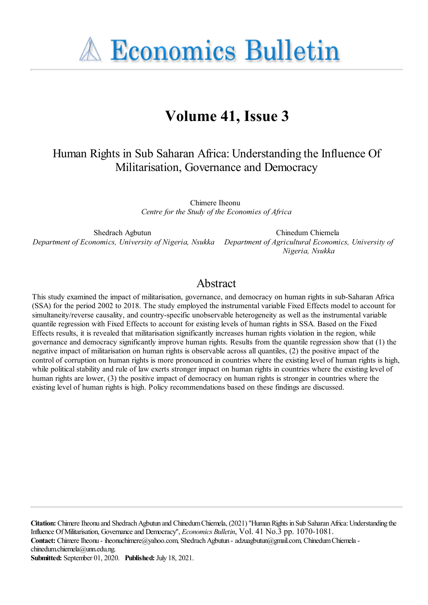**A Economics Bulletin** 

# **Volume 41, Issue 3**

Human Rights in Sub Saharan Africa: Understanding the Influence Of Militarisation, Governance and Democracy

> Chimere Iheonu *Centre for the Study of the Economies of Africa*

Shedrach Agbutun *Department of Economics, University of Nigeria, Nsukka Department of Agricultural Economics, University of*

Chinedum Chiemela *Nigeria, Nsukka*

## Abstract

This study examined the impact of militarisation, governance, and democracy on human rights in sub-Saharan Africa (SSA) for the period 2002 to 2018. The study employed the instrumental variable Fixed Effects model to account for simultaneity/reverse causality, and country-specific unobservable heterogeneity as well as the instrumental variable quantile regression with Fixed Effects to account for existing levels of human rights in SSA. Based on the Fixed Effects results, it is revealed that militarisation significantly increases human rights violation in the region, while governance and democracy significantly improve human rights. Results from the quantile regression show that (1) the negative impact of militarisation on human rights is observable across all quantiles, (2) the positive impact of the control of corruption on human rights is more pronounced in countries where the existing level of human rights is high, while political stability and rule of law exerts stronger impact on human rights in countries where the existing level of human rights are lower, (3) the positive impact of democracy on human rights is stronger in countries where the existing level of human rights is high. Policy recommendations based on these findings are discussed.

**Citation:** Chimere Iheonu and Shedrach Agbutun and Chinedum Chiemela, (2021) "Human Rights in Sub Saharan Africa: Understanding the Influence OfMilitarisation, Governanceand Democracy'', *Economics Bulletin*, Vol. 41 No.3 pp. 1070-1081. Contact: Chimere Iheonu - iheonuchimere@yahoo.com, Shedrach Agbutun - adzuagbutun@gmail.com, Chinedum Chiemela chinedum.chiemela@unn.edu.ng. **Submitted:** September 01, 2020. **Published:** July 18, 2021.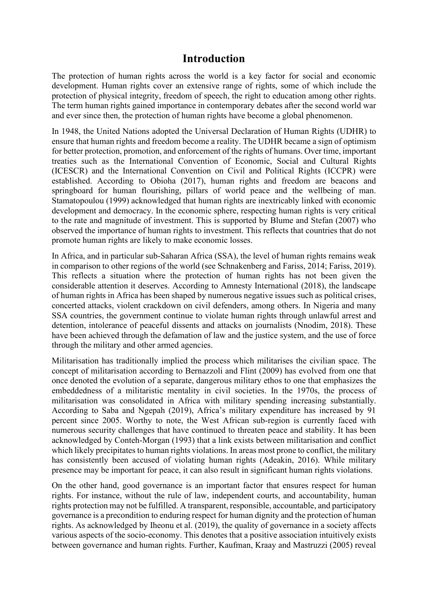## **Introduction**

The protection of human rights across the world is a key factor for social and economic development. Human rights cover an extensive range of rights, some of which include the protection of physical integrity, freedom of speech, the right to education among other rights. The term human rights gained importance in contemporary debates after the second world war and ever since then, the protection of human rights have become a global phenomenon.

In 1948, the United Nations adopted the Universal Declaration of Human Rights (UDHR) to ensure that human rights and freedom become a reality. The UDHR became a sign of optimism for better protection, promotion, and enforcement of the rights of humans. Over time, important treaties such as the International Convention of Economic, Social and Cultural Rights (ICESCR) and the International Convention on Civil and Political Rights (ICCPR) were established. According to Obioha (2017), human rights and freedom are beacons and springboard for human flourishing, pillars of world peace and the wellbeing of man. Stamatopoulou (1999) acknowledged that human rights are inextricably linked with economic development and democracy. In the economic sphere, respecting human rights is very critical to the rate and magnitude of investment. This is supported by Blume and Stefan (2007) who observed the importance of human rights to investment. This reflects that countries that do not promote human rights are likely to make economic losses.

In Africa, and in particular sub-Saharan Africa (SSA), the level of human rights remains weak in comparison to other regions of the world (see Schnakenberg and Fariss, 2014; Fariss, 2019). This reflects a situation where the protection of human rights has not been given the considerable attention it deserves. According to Amnesty International (2018), the landscape of human rights in Africa has been shaped by numerous negative issues such as political crises, concerted attacks, violent crackdown on civil defenders, among others. In Nigeria and many SSA countries, the government continue to violate human rights through unlawful arrest and detention, intolerance of peaceful dissents and attacks on journalists (Nnodim, 2018). These have been achieved through the defamation of law and the justice system, and the use of force through the military and other armed agencies.

Militarisation has traditionally implied the process which militarises the civilian space. The concept of militarisation according to Bernazzoli and Flint (2009) has evolved from one that once denoted the evolution of a separate, dangerous military ethos to one that emphasizes the embeddedness of a militaristic mentality in civil societies. In the 1970s, the process of militarisation was consolidated in Africa with military spending increasing substantially. According to Saba and Ngepah (2019), Africa's military expenditure has increased by 91 percent since 2005. Worthy to note, the West African sub-region is currently faced with numerous security challenges that have continued to threaten peace and stability. It has been acknowledged by Conteh-Morgan (1993) that a link exists between militarisation and conflict which likely precipitates to human rights violations. In areas most prone to conflict, the military has consistently been accused of violating human rights (Adeakin, 2016). While military presence may be important for peace, it can also result in significant human rights violations.

On the other hand, good governance is an important factor that ensures respect for human rights. For instance, without the rule of law, independent courts, and accountability, human rights protection may not be fulfilled. A transparent, responsible, accountable, and participatory governance is a precondition to enduring respect for human dignity and the protection of human rights. As acknowledged by Iheonu et al. (2019), the quality of governance in a society affects various aspects of the socio-economy. This denotes that a positive association intuitively exists between governance and human rights. Further, Kaufman, Kraay and Mastruzzi (2005) reveal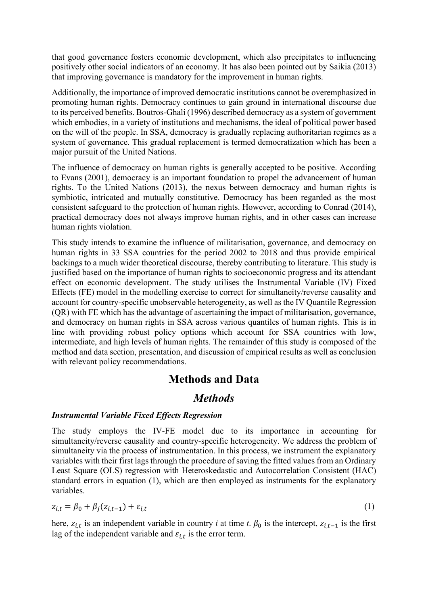that good governance fosters economic development, which also precipitates to influencing positively other social indicators of an economy. It has also been pointed out by Saikia (2013) that improving governance is mandatory for the improvement in human rights.

Additionally, the importance of improved democratic institutions cannot be overemphasized in promoting human rights. Democracy continues to gain ground in international discourse due to its perceived benefits. Boutros-Ghali (1996) described democracy as a system of government which embodies, in a variety of institutions and mechanisms, the ideal of political power based on the will of the people. In SSA, democracy is gradually replacing authoritarian regimes as a system of governance. This gradual replacement is termed democratization which has been a major pursuit of the United Nations.

The influence of democracy on human rights is generally accepted to be positive. According to Evans (2001), democracy is an important foundation to propel the advancement of human rights. To the United Nations (2013), the nexus between democracy and human rights is symbiotic, intricated and mutually constitutive. Democracy has been regarded as the most consistent safeguard to the protection of human rights. However, according to Conrad (2014), practical democracy does not always improve human rights, and in other cases can increase human rights violation.

This study intends to examine the influence of militarisation, governance, and democracy on human rights in 33 SSA countries for the period 2002 to 2018 and thus provide empirical backings to a much wider theoretical discourse, thereby contributing to literature. This study is justified based on the importance of human rights to socioeconomic progress and its attendant effect on economic development. The study utilises the Instrumental Variable (IV) Fixed Effects (FE) model in the modelling exercise to correct for simultaneity/reverse causality and account for country-specific unobservable heterogeneity, as well as the IV Quantile Regression (QR) with FE which has the advantage of ascertaining the impact of militarisation, governance, and democracy on human rights in SSA across various quantiles of human rights. This is in line with providing robust policy options which account for SSA countries with low, intermediate, and high levels of human rights. The remainder of this study is composed of the method and data section, presentation, and discussion of empirical results as well as conclusion with relevant policy recommendations.

## **Methods and Data**

## *Methods*

#### *Instrumental Variable Fixed Effects Regression*

The study employs the IV-FE model due to its importance in accounting for simultaneity/reverse causality and country-specific heterogeneity. We address the problem of simultaneity via the process of instrumentation. In this process, we instrument the explanatory variables with their first lags through the procedure of saving the fitted values from an Ordinary Least Square (OLS) regression with Heteroskedastic and Autocorrelation Consistent (HAC) standard errors in equation (1), which are then employed as instruments for the explanatory variables.

$$
z_{i,t} = \beta_0 + \beta_j (z_{i,t-1}) + \varepsilon_{i,t} \tag{1}
$$

here,  $z_{i,t}$  is an independent variable in country *i* at time *t*.  $\beta_0$  is the intercept,  $z_{i,t-1}$  is the first lag of the independent variable and  $\varepsilon_{i,t}$  is the error term.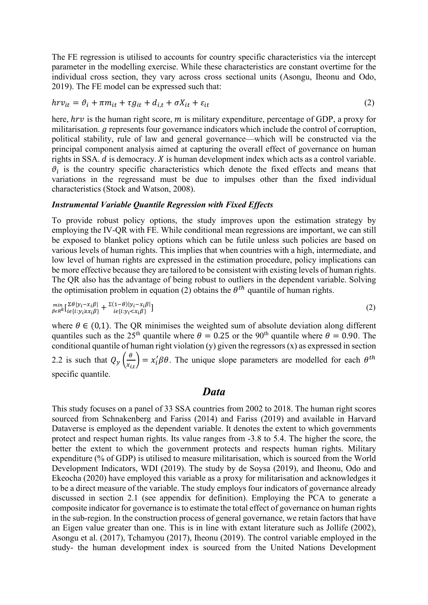The FE regression is utilised to accounts for country specific characteristics via the intercept parameter in the modelling exercise. While these characteristics are constant overtime for the individual cross section, they vary across cross sectional units (Asongu, Iheonu and Odo, 2019). The FE model can be expressed such that:

$$
hrv_{it} = \vartheta_i + \pi m_{it} + \tau g_{it} + d_{i,t} + \sigma X_{it} + \varepsilon_{it}
$$
\n<sup>(2)</sup>

here,  $hrv$  is the human right score,  $m$  is military expenditure, percentage of GDP, a proxy for militarisation.  $q$  represents four governance indicators which include the control of corruption, political stability, rule of law and general governance—which will be constructed via the principal component analysis aimed at capturing the overall effect of governance on human rights in SSA.  $d$  is democracy.  $X$  is human development index which acts as a control variable.  $\vartheta_i$  is the country specific characteristics which denote the fixed effects and means that variations in the regressand must be due to impulses other than the fixed individual characteristics (Stock and Watson, 2008).

#### *Instrumental Variable Quantile Regression with Fixed Effects*

To provide robust policy options, the study improves upon the estimation strategy by employing the IV-QR with FE. While conditional mean regressions are important, we can still be exposed to blanket policy options which can be futile unless such policies are based on various levels of human rights. This implies that when countries with a high, intermediate, and low level of human rights are expressed in the estimation procedure, policy implications can be more effective because they are tailored to be consistent with existing levels of human rights. The QR also has the advantage of being robust to outliers in the dependent variable. Solving the optimisation problem in equation (2) obtains the  $\theta^{th}$  quantile of human rights.

$$
\min_{\beta \in R^k} \left[ \sum_{i \in \{i : y_i \ge x_i \beta\}} + \sum_{i \in \{i : y_i < x_i \beta\}} \right] \tag{2}
$$

where  $\theta \in (0,1)$ . The QR minimises the weighted sum of absolute deviation along different quantiles such as the  $25<sup>th</sup>$  quantile where  $\theta = 0.25$  or the 90<sup>th</sup> quantile where  $\theta = 0.90$ . The conditional quantile of human right violation (y) given the regressors  $(x)$  as expressed in section 2.2 is such that  $Q_y\left(\frac{\theta}{x_i}\right)$  $\frac{\partial}{\partial x_{i,t}}$  =  $x_i' \beta \theta$ . The unique slope parameters are modelled for each  $\theta^{th}$ specific quantile.

#### *Data*

This study focuses on a panel of 33 SSA countries from 2002 to 2018. The human right scores sourced from Schnakenberg and Fariss (2014) and Fariss (2019) and available in Harvard Dataverse is employed as the dependent variable. It denotes the extent to which governments protect and respect human rights. Its value ranges from -3.8 to 5.4. The higher the score, the better the extent to which the government protects and respects human rights. Military expenditure (% of GDP) is utilised to measure militarisation, which is sourced from the World Development Indicators, WDI (2019). The study by de Soysa (2019), and Iheonu, Odo and Ekeocha (2020) have employed this variable as a proxy for militarisation and acknowledges it to be a direct measure of the variable. The study employs four indicators of governance already discussed in section 2.1 (see appendix for definition). Employing the PCA to generate a composite indicator for governance is to estimate the total effect of governance on human rights in the sub-region. In the construction process of general governance, we retain factors that have an Eigen value greater than one. This is in line with extant literature such as Jollife (2002), Asongu et al. (2017), Tchamyou (2017), Iheonu (2019). The control variable employed in the study- the human development index is sourced from the United Nations Development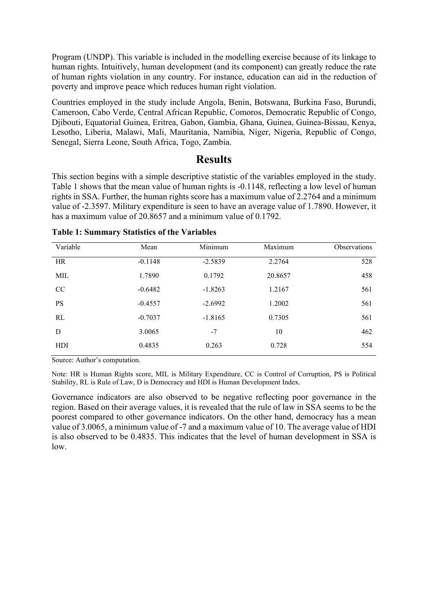Program (UNDP). This variable is included in the modelling exercise because of its linkage to human rights. Intuitively, human development (and its component) can greatly reduce the rate of human rights violation in any country. For instance, education can aid in the reduction of poverty and improve peace which reduces human right violation.

Countries employed in the study include Angola, Benin, Botswana, Burkina Faso, Burundi, Cameroon, Cabo Verde, Central African Republic, Comoros, Democratic Republic of Congo, Djibouti, Equatorial Guinea, Eritrea, Gabon, Gambia, Ghana, Guinea, Guinea-Bissau, Kenya, Lesotho, Liberia, Malawi, Mali, Mauritania, Namibia, Niger, Nigeria, Republic of Congo, Senegal, Sierra Leone, South Africa, Togo, Zambia.

## **Results**

This section begins with a simple descriptive statistic of the variables employed in the study. Table 1 shows that the mean value of human rights is -0.1148, reflecting a low level of human rights in SSA. Further, the human rights score has a maximum value of 2.2764 and a minimum value of -2.3597. Military expenditure is seen to have an average value of 1.7890. However, it has a maximum value of 20.8657 and a minimum value of 0.1792.

| Variable  | Mean      | Minimum   | Maximum | Observations |
|-----------|-----------|-----------|---------|--------------|
| HR        | $-0.1148$ | $-2.5839$ | 2.2764  | 528          |
| MIL       | 1.7890    | 0.1792    | 20.8657 | 458          |
| CC        | $-0.6482$ | $-1.8263$ | 1.2167  | 561          |
| <b>PS</b> | $-0.4557$ | $-2.6992$ | 1.2002  | 561          |
| RL        | $-0.7037$ | $-1.8165$ | 0.7305  | 561          |
| D         | 3.0065    | $-7$      | 10      | 462          |
| HDI       | 0.4835    | 0.263     | 0.728   | 554          |
|           |           |           |         |              |

#### **Table 1: Summary Statistics of the Variables**

Source: Author's computation.

Note: HR is Human Rights score, MIL is Military Expenditure, CC is Control of Corruption, PS is Political Stability, RL is Rule of Law, D is Democracy and HDI is Human Development Index.

Governance indicators are also observed to be negative reflecting poor governance in the region. Based on their average values, it is revealed that the rule of law in SSA seems to be the poorest compared to other governance indicators. On the other hand, democracy has a mean value of 3.0065, a minimum value of -7 and a maximum value of 10. The average value of HDI is also observed to be 0.4835. This indicates that the level of human development in SSA is  $\log$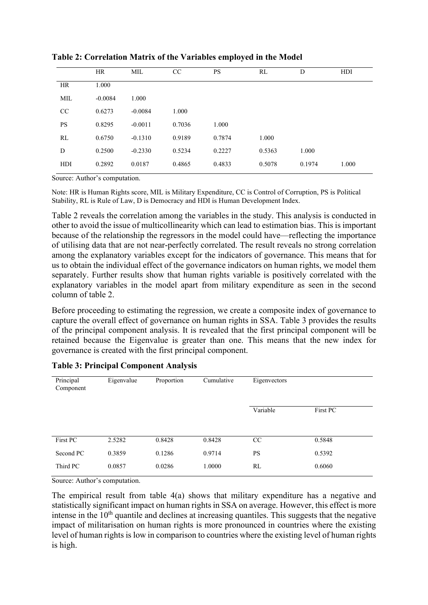|           | <b>HR</b> | MIL       | CC     | <b>PS</b> | RL     | D      | HDI   |
|-----------|-----------|-----------|--------|-----------|--------|--------|-------|
| <b>HR</b> | 1.000     |           |        |           |        |        |       |
| MIL       | $-0.0084$ | 1.000     |        |           |        |        |       |
| CC        | 0.6273    | $-0.0084$ | 1.000  |           |        |        |       |
| <b>PS</b> | 0.8295    | $-0.0011$ | 0.7036 | 1.000     |        |        |       |
| RL        | 0.6750    | $-0.1310$ | 0.9189 | 0.7874    | 1.000  |        |       |
| D         | 0.2500    | $-0.2330$ | 0.5234 | 0.2227    | 0.5363 | 1.000  |       |
| HDI       | 0.2892    | 0.0187    | 0.4865 | 0.4833    | 0.5078 | 0.1974 | 1.000 |
|           |           |           |        |           |        |        |       |

**Table 2: Correlation Matrix of the Variables employed in the Model**

Source: Author's computation.

Note: HR is Human Rights score, MIL is Military Expenditure, CC is Control of Corruption, PS is Political Stability, RL is Rule of Law, D is Democracy and HDI is Human Development Index.

Table 2 reveals the correlation among the variables in the study. This analysis is conducted in other to avoid the issue of multicollinearity which can lead to estimation bias. This is important because of the relationship the regressors in the model could have—reflecting the importance of utilising data that are not near-perfectly correlated. The result reveals no strong correlation among the explanatory variables except for the indicators of governance. This means that for us to obtain the individual effect of the governance indicators on human rights, we model them separately. Further results show that human rights variable is positively correlated with the explanatory variables in the model apart from military expenditure as seen in the second column of table 2.

Before proceeding to estimating the regression, we create a composite index of governance to capture the overall effect of governance on human rights in SSA. Table 3 provides the results of the principal component analysis. It is revealed that the first principal component will be retained because the Eigenvalue is greater than one. This means that the new index for governance is created with the first principal component.

| Principal<br>Component | Eigenvalue | Proportion | Cumulative | Eigenvectors |          |
|------------------------|------------|------------|------------|--------------|----------|
|                        |            |            |            | Variable     | First PC |
| First PC               | 2.5282     | 0.8428     | 0.8428     | CC           | 0.5848   |
| Second PC              | 0.3859     | 0.1286     | 0.9714     | <b>PS</b>    | 0.5392   |
| Third PC               | 0.0857     | 0.0286     | 1.0000     | RL           | 0.6060   |

#### **Table 3: Principal Component Analysis**

Source: Author's computation.

The empirical result from table 4(a) shows that military expenditure has a negative and statistically significant impact on human rights in SSA on average. However, this effect is more intense in the  $10<sup>th</sup>$  quantile and declines at increasing quantiles. This suggests that the negative impact of militarisation on human rights is more pronounced in countries where the existing level of human rights is low in comparison to countries where the existing level of human rights is high.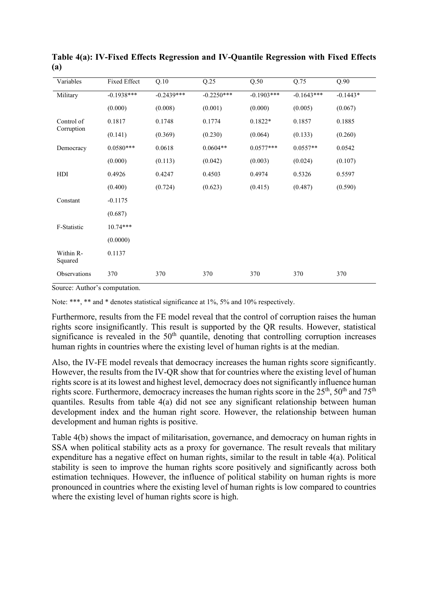| Variables            | Fixed Effect | Q.10         | Q.25         | Q.50         | Q.75         | Q.90       |
|----------------------|--------------|--------------|--------------|--------------|--------------|------------|
| Military             | $-0.1938***$ | $-0.2439***$ | $-0.2250***$ | $-0.1903***$ | $-0.1643***$ | $-0.1443*$ |
|                      | (0.000)      | (0.008)      | (0.001)      | (0.000)      | (0.005)      | (0.067)    |
| Control of           | 0.1817       | 0.1748       | 0.1774       | $0.1822*$    | 0.1857       | 0.1885     |
| Corruption           | (0.141)      | (0.369)      | (0.230)      | (0.064)      | (0.133)      | (0.260)    |
| Democracy            | $0.0580***$  | 0.0618       | $0.0604**$   | $0.0577***$  | $0.0557**$   | 0.0542     |
|                      | (0.000)      | (0.113)      | (0.042)      | (0.003)      | (0.024)      | (0.107)    |
| HDI                  | 0.4926       | 0.4247       | 0.4503       | 0.4974       | 0.5326       | 0.5597     |
|                      | (0.400)      | (0.724)      | (0.623)      | (0.415)      | (0.487)      | (0.590)    |
| Constant             | $-0.1175$    |              |              |              |              |            |
|                      | (0.687)      |              |              |              |              |            |
| F-Statistic          | $10.74***$   |              |              |              |              |            |
|                      | (0.0000)     |              |              |              |              |            |
| Within R-<br>Squared | 0.1137       |              |              |              |              |            |
| Observations         | 370          | 370          | 370          | 370          | 370          | 370        |

**Table 4(a): IV-Fixed Effects Regression and IV-Quantile Regression with Fixed Effects (a)**

Source: Author's computation.

Note: \*\*\*, \*\* and \* denotes statistical significance at 1%, 5% and 10% respectively.

Furthermore, results from the FE model reveal that the control of corruption raises the human rights score insignificantly. This result is supported by the QR results. However, statistical significance is revealed in the  $50<sup>th</sup>$  quantile, denoting that controlling corruption increases human rights in countries where the existing level of human rights is at the median.

Also, the IV-FE model reveals that democracy increases the human rights score significantly. However, the results from the IV-QR show that for countries where the existing level of human rights score is at its lowest and highest level, democracy does not significantly influence human rights score. Furthermore, democracy increases the human rights score in the  $25<sup>th</sup>$ ,  $50<sup>th</sup>$  and  $75<sup>th</sup>$ quantiles. Results from table 4(a) did not see any significant relationship between human development index and the human right score. However, the relationship between human development and human rights is positive.

Table 4(b) shows the impact of militarisation, governance, and democracy on human rights in SSA when political stability acts as a proxy for governance. The result reveals that military expenditure has a negative effect on human rights, similar to the result in table 4(a). Political stability is seen to improve the human rights score positively and significantly across both estimation techniques. However, the influence of political stability on human rights is more pronounced in countries where the existing level of human rights is low compared to countries where the existing level of human rights score is high.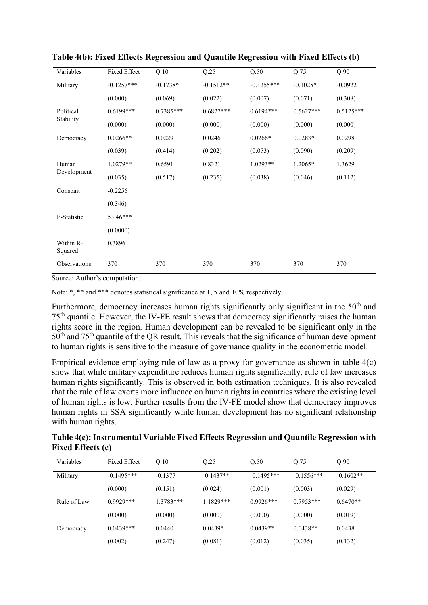| Variables            | Fixed Effect | Q.10        | Q.25        | Q.50         | Q.75        | Q.90        |
|----------------------|--------------|-------------|-------------|--------------|-------------|-------------|
| Military             | $-0.1257***$ | $-0.1738*$  | $-0.1512**$ | $-0.1255***$ | $-0.1025*$  | $-0.0922$   |
|                      | (0.000)      | (0.069)     | (0.022)     | (0.007)      | (0.071)     | (0.308)     |
| Political            | $0.6199***$  | $0.7385***$ | $0.6827***$ | $0.6194***$  | $0.5627***$ | $0.5125***$ |
| Stability            | (0.000)      | (0.000)     | (0.000)     | (0.000)      | (0.000)     | (0.000)     |
| Democracy            | $0.0266**$   | 0.0229      | 0.0246      | $0.0266*$    | $0.0283*$   | 0.0298      |
|                      | (0.039)      | (0.414)     | (0.202)     | (0.053)      | (0.090)     | (0.209)     |
| Human                | $1.0279**$   | 0.6591      | 0.8321      | $1.0293**$   | 1.2065*     | 1.3629      |
| Development          | (0.035)      | (0.517)     | (0.235)     | (0.038)      | (0.046)     | (0.112)     |
| Constant             | $-0.2256$    |             |             |              |             |             |
|                      | (0.346)      |             |             |              |             |             |
| F-Statistic          | 53.46***     |             |             |              |             |             |
|                      | (0.0000)     |             |             |              |             |             |
| Within R-<br>Squared | 0.3896       |             |             |              |             |             |
| Observations         | 370          | 370         | 370         | 370          | 370         | 370         |

**Table 4(b): Fixed Effects Regression and Quantile Regression with Fixed Effects (b)**

Source: Author's computation.

Note: \*, \*\* and \*\*\* denotes statistical significance at 1, 5 and 10% respectively.

Furthermore, democracy increases human rights significantly only significant in the 50<sup>th</sup> and 75th quantile. However, the IV-FE result shows that democracy significantly raises the human rights score in the region. Human development can be revealed to be significant only in the 50<sup>th</sup> and 75<sup>th</sup> quantile of the QR result. This reveals that the significance of human development to human rights is sensitive to the measure of governance quality in the econometric model.

Empirical evidence employing rule of law as a proxy for governance as shown in table 4(c) show that while military expenditure reduces human rights significantly, rule of law increases human rights significantly. This is observed in both estimation techniques. It is also revealed that the rule of law exerts more influence on human rights in countries where the existing level of human rights is low. Further results from the IV-FE model show that democracy improves human rights in SSA significantly while human development has no significant relationship with human rights.

| Table 4(c): Instrumental Variable Fixed Effects Regression and Quantile Regression with |  |
|-----------------------------------------------------------------------------------------|--|
| <b>Fixed Effects (c)</b>                                                                |  |

| Variables   | <b>Fixed Effect</b> | Q.10        | O.25        | Q.50         | Q.75         | Q.90        |
|-------------|---------------------|-------------|-------------|--------------|--------------|-------------|
| Military    | $-0.1495***$        | $-0.1377$   | $-0.1437**$ | $-0.1495***$ | $-0.1556***$ | $-0.1602**$ |
|             | (0.000)             | (0.151)     | (0.024)     | (0.001)      | (0.003)      | (0.029)     |
| Rule of Law | $0.9929***$         | $1.3783***$ | $1.1829***$ | $0.9926***$  | $0.7953***$  | $0.6470**$  |
|             | (0.000)             | (0.000)     | (0.000)     | (0.000)      | (0.000)      | (0.019)     |
| Democracy   | $0.0439***$         | 0.0440      | $0.0439*$   | $0.0439**$   | $0.0438**$   | 0.0438      |
|             | (0.002)             | (0.247)     | (0.081)     | (0.012)      | (0.035)      | (0.132)     |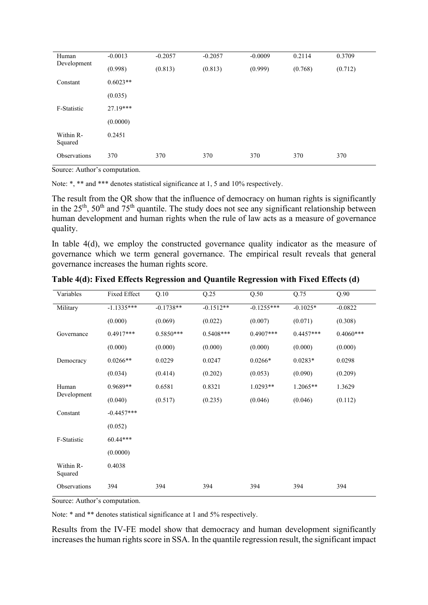| Human                | $-0.0013$  | $-0.2057$ | $-0.2057$ | $-0.0009$ | 0.2114  | 0.3709  |
|----------------------|------------|-----------|-----------|-----------|---------|---------|
| Development          | (0.998)    | (0.813)   | (0.813)   | (0.999)   | (0.768) | (0.712) |
| Constant             | $0.6023**$ |           |           |           |         |         |
|                      | (0.035)    |           |           |           |         |         |
| F-Statistic          | $27.19***$ |           |           |           |         |         |
|                      | (0.0000)   |           |           |           |         |         |
| Within R-<br>Squared | 0.2451     |           |           |           |         |         |
| Observations         | 370        | 370       | 370       | 370       | 370     | 370     |

Source: Author's computation.

Note: \*, \*\* and \*\*\* denotes statistical significance at 1, 5 and 10% respectively.

The result from the QR show that the influence of democracy on human rights is significantly in the  $25<sup>th</sup>$ ,  $50<sup>th</sup>$  and  $75<sup>th</sup>$  quantile. The study does not see any significant relationship between human development and human rights when the rule of law acts as a measure of governance quality.

In table 4(d), we employ the constructed governance quality indicator as the measure of governance which we term general governance. The empirical result reveals that general governance increases the human rights score.

| Variables            | Fixed Effect | Q.10        | Q.25        | Q.50         | Q.75        | Q.90        |
|----------------------|--------------|-------------|-------------|--------------|-------------|-------------|
| Military             | $-1.1335***$ | $-0.1738**$ | $-0.1512**$ | $-0.1255***$ | $-0.1025*$  | $-0.0822$   |
|                      | (0.000)      | (0.069)     | (0.022)     | (0.007)      | (0.071)     | (0.308)     |
| Governance           | $0.4917***$  | $0.5850***$ | $0.5408***$ | $0.4907***$  | $0.4457***$ | $0.4060***$ |
|                      | (0.000)      | (0.000)     | (0.000)     | (0.000)      | (0.000)     | (0.000)     |
| Democracy            | $0.0266**$   | 0.0229      | 0.0247      | $0.0266*$    | $0.0283*$   | 0.0298      |
|                      | (0.034)      | (0.414)     | (0.202)     | (0.053)      | (0.090)     | (0.209)     |
| Human                | $0.9689**$   | 0.6581      | 0.8321      | $1.0293**$   | $1.2065**$  | 1.3629      |
| Development          | (0.040)      | (0.517)     | (0.235)     | (0.046)      | (0.046)     | (0.112)     |
| Constant             | $-0.4457***$ |             |             |              |             |             |
|                      | (0.052)      |             |             |              |             |             |
| F-Statistic          | $60.44***$   |             |             |              |             |             |
|                      | (0.0000)     |             |             |              |             |             |
| Within R-<br>Squared | 0.4038       |             |             |              |             |             |
| Observations         | 394          | 394         | 394         | 394          | 394         | 394         |

**Table 4(d): Fixed Effects Regression and Quantile Regression with Fixed Effects (d)**

Source: Author's computation.

Note: \* and \*\* denotes statistical significance at 1 and 5% respectively.

Results from the IV-FE model show that democracy and human development significantly increases the human rights score in SSA. In the quantile regression result, the significant impact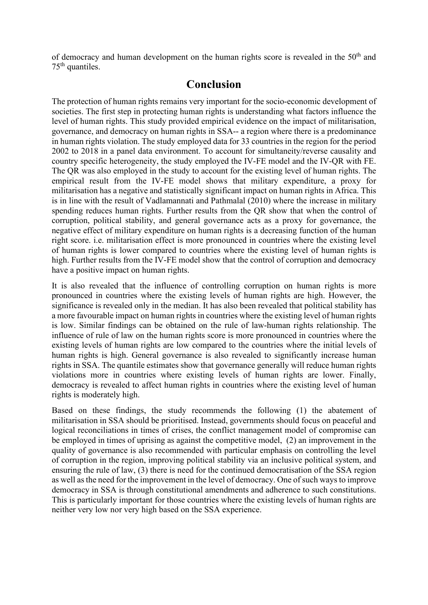of democracy and human development on the human rights score is revealed in the  $50<sup>th</sup>$  and  $75<sup>th</sup>$  quantiles.

## **Conclusion**

The protection of human rights remains very important for the socio-economic development of societies. The first step in protecting human rights is understanding what factors influence the level of human rights. This study provided empirical evidence on the impact of militarisation, governance, and democracy on human rights in SSA-- a region where there is a predominance in human rights violation. The study employed data for 33 countries in the region for the period 2002 to 2018 in a panel data environment. To account for simultaneity/reverse causality and country specific heterogeneity, the study employed the IV-FE model and the IV-QR with FE. The QR was also employed in the study to account for the existing level of human rights. The empirical result from the IV-FE model shows that military expenditure, a proxy for militarisation has a negative and statistically significant impact on human rights in Africa. This is in line with the result of Vadlamannati and Pathmalal (2010) where the increase in military spending reduces human rights. Further results from the QR show that when the control of corruption, political stability, and general governance acts as a proxy for governance, the negative effect of military expenditure on human rights is a decreasing function of the human right score. i.e. militarisation effect is more pronounced in countries where the existing level of human rights is lower compared to countries where the existing level of human rights is high. Further results from the IV-FE model show that the control of corruption and democracy have a positive impact on human rights.

It is also revealed that the influence of controlling corruption on human rights is more pronounced in countries where the existing levels of human rights are high. However, the significance is revealed only in the median. It has also been revealed that political stability has a more favourable impact on human rights in countries where the existing level of human rights is low. Similar findings can be obtained on the rule of law-human rights relationship. The influence of rule of law on the human rights score is more pronounced in countries where the existing levels of human rights are low compared to the countries where the initial levels of human rights is high. General governance is also revealed to significantly increase human rights in SSA. The quantile estimates show that governance generally will reduce human rights violations more in countries where existing levels of human rights are lower. Finally, democracy is revealed to affect human rights in countries where the existing level of human rights is moderately high.

Based on these findings, the study recommends the following (1) the abatement of militarisation in SSA should be prioritised. Instead, governments should focus on peaceful and logical reconciliations in times of crises, the conflict management model of compromise can be employed in times of uprising as against the competitive model, (2) an improvement in the quality of governance is also recommended with particular emphasis on controlling the level of corruption in the region, improving political stability via an inclusive political system, and ensuring the rule of law, (3) there is need for the continued democratisation of the SSA region as well as the need for the improvement in the level of democracy. One of such ways to improve democracy in SSA is through constitutional amendments and adherence to such constitutions. This is particularly important for those countries where the existing levels of human rights are neither very low nor very high based on the SSA experience.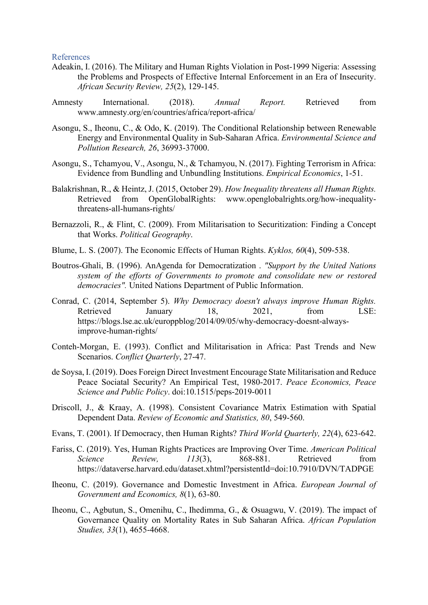References

- Adeakin, I. (2016). The Military and Human Rights Violation in Post-1999 Nigeria: Assessing the Problems and Prospects of Effective Internal Enforcement in an Era of Insecurity. *African Security Review, 25*(2), 129-145.
- Amnesty International. (2018). *Annual Report.* Retrieved from www.amnesty.org/en/countries/africa/report-africa/
- Asongu, S., Iheonu, C., & Odo, K. (2019). The Conditional Relationship between Renewable Energy and Environmental Quality in Sub-Saharan Africa. *Environmental Science and Pollution Research, 26*, 36993-37000.
- Asongu, S., Tchamyou, V., Asongu, N., & Tchamyou, N. (2017). Fighting Terrorism in Africa: Evidence from Bundling and Unbundling Institutions. *Empirical Economics*, 1-51.
- Balakrishnan, R., & Heintz, J. (2015, October 29). *How Inequality threatens all Human Rights.* Retrieved from OpenGlobalRights: www.openglobalrights.org/how-inequalitythreatens-all-humans-rights/
- Bernazzoli, R., & Flint, C. (2009). From Militarisation to Securitization: Finding a Concept that Works. *Political Geography*.
- Blume, L. S. (2007). The Economic Effects of Human Rights. *Kyklos, 60*(4), 509-538.
- Boutros-Ghali, B. (1996). AnAgenda for Democratization . *"Support by the United Nations system of the efforts of Governments to promote and consolidate new or restored democracies".* United Nations Department of Public Information.
- Conrad, C. (2014, September 5). *Why Democracy doesn't always improve Human Rights.* Retrieved January 18, 2021, from LSE: https://blogs.lse.ac.uk/europpblog/2014/09/05/why-democracy-doesnt-alwaysimprove-human-rights/
- Conteh-Morgan, E. (1993). Conflict and Militarisation in Africa: Past Trends and New Scenarios. *Conflict Quarterly*, 27-47.
- de Soysa, I. (2019). Does Foreign Direct Investment Encourage State Militarisation and Reduce Peace Sociatal Security? An Empirical Test, 1980-2017. *Peace Economics, Peace Science and Public Policy*. doi:10.1515/peps-2019-0011
- Driscoll, J., & Kraay, A. (1998). Consistent Covariance Matrix Estimation with Spatial Dependent Data. *Review of Economic and Statistics, 80*, 549-560.
- Evans, T. (2001). If Democracy, then Human Rights? *Third World Quarterly, 22*(4), 623-642.
- Fariss, C. (2019). Yes, Human Rights Practices are Improving Over Time. *American Political Science Review, 113*(3), 868-881. Retrieved from https://dataverse.harvard.edu/dataset.xhtml?persistentId=doi:10.7910/DVN/TADPGE
- Iheonu, C. (2019). Governance and Domestic Investment in Africa. *European Journal of Government and Economics, 8*(1), 63-80.
- Iheonu, C., Agbutun, S., Omenihu, C., Ihedimma, G., & Osuagwu, V. (2019). The impact of Governance Quality on Mortality Rates in Sub Saharan Africa. *African Population Studies, 33*(1), 4655-4668.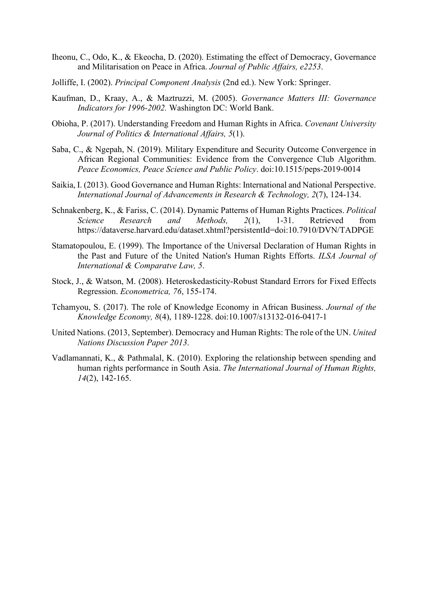- Iheonu, C., Odo, K., & Ekeocha, D. (2020). Estimating the effect of Democracy, Governance and Militarisation on Peace in Africa. *Journal of Public Affairs, e2253*.
- Jolliffe, I. (2002). *Principal Component Analysis* (2nd ed.). New York: Springer.
- Kaufman, D., Kraay, A., & Maztruzzi, M. (2005). *Governance Matters III: Governance Indicators for 1996-2002.* Washington DC: World Bank.
- Obioha, P. (2017). Understanding Freedom and Human Rights in Africa. *Covenant University Journal of Politics & International Affairs, 5*(1).
- Saba, C., & Ngepah, N. (2019). Military Expenditure and Security Outcome Convergence in African Regional Communities: Evidence from the Convergence Club Algorithm. *Peace Economics, Peace Science and Public Policy*. doi:10.1515/peps-2019-0014
- Saikia, I. (2013). Good Governance and Human Rights: International and National Perspective. *International Journal of Advancements in Research & Technology, 2*(7), 124-134.
- Schnakenberg, K., & Fariss, C. (2014). Dynamic Patterns of Human Rights Practices. *Political Science Research and Methods, 2*(1), 1-31. Retrieved from https://dataverse.harvard.edu/dataset.xhtml?persistentId=doi:10.7910/DVN/TADPGE
- Stamatopoulou, E. (1999). The Importance of the Universal Declaration of Human Rights in the Past and Future of the United Nation's Human Rights Efforts. *ILSA Journal of International & Comparatve Law, 5*.
- Stock, J., & Watson, M. (2008). Heteroskedasticity-Robust Standard Errors for Fixed Effects Regression. *Econometrica, 76*, 155-174.
- Tchamyou, S. (2017). The role of Knowledge Economy in African Business. *Journal of the Knowledge Economy, 8*(4), 1189-1228. doi:10.1007/s13132-016-0417-1
- United Nations. (2013, September). Democracy and Human Rights: The role of the UN. *United Nations Discussion Paper 2013*.
- Vadlamannati, K., & Pathmalal, K. (2010). Exploring the relationship between spending and human rights performance in South Asia. *The International Journal of Human Rights, 14*(2), 142-165.